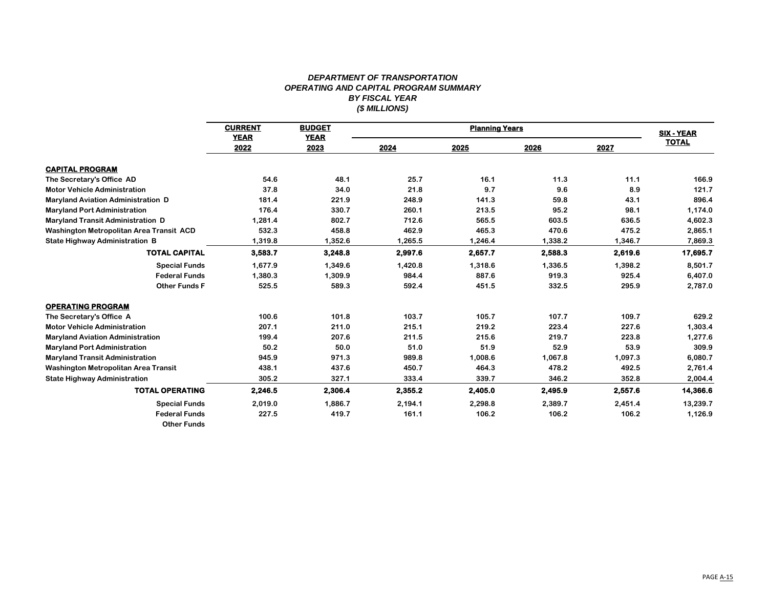## *DEPARTMENT OF TRANSPORTATION OPERATING AND CAPITAL PROGRAM SUMMARY BY FISCAL YEAR (\$ MILLIONS)*

|                                           | <b>CURRENT</b><br><b>YEAR</b> | <b>BUDGET</b><br><b>YEAR</b> |         | <b>SIX - YEAR</b> |         |         |              |
|-------------------------------------------|-------------------------------|------------------------------|---------|-------------------|---------|---------|--------------|
|                                           | 2022                          | 2023                         | 2024    | 2025              | 2026    | 2027    | <b>TOTAL</b> |
| <b>CAPITAL PROGRAM</b>                    |                               |                              |         |                   |         |         |              |
| The Secretary's Office AD                 | 54.6                          | 48.1                         | 25.7    | 16.1              | 11.3    | 11.1    | 166.9        |
| <b>Motor Vehicle Administration</b>       | 37.8                          | 34.0                         | 21.8    | 9.7               | 9.6     | 8.9     | 121.7        |
| <b>Maryland Aviation Administration D</b> | 181.4                         | 221.9                        | 248.9   | 141.3             | 59.8    | 43.1    | 896.4        |
| <b>Maryland Port Administration</b>       | 176.4                         | 330.7                        | 260.1   | 213.5             | 95.2    | 98.1    | 1,174.0      |
| <b>Maryland Transit Administration D</b>  | 1,281.4                       | 802.7                        | 712.6   | 565.5             | 603.5   | 636.5   | 4,602.3      |
| Washington Metropolitan Area Transit ACD  | 532.3                         | 458.8                        | 462.9   | 465.3             | 470.6   | 475.2   | 2,865.1      |
| <b>State Highway Administration B</b>     | 1,319.8                       | 1,352.6                      | 1,265.5 | 1,246.4           | 1,338.2 | 1,346.7 | 7,869.3      |
| <b>TOTAL CAPITAL</b>                      | 3,583.7                       | 3,248.8                      | 2,997.6 | 2,657.7           | 2,588.3 | 2,619.6 | 17,695.7     |
| <b>Special Funds</b>                      | 1,677.9                       | 1,349.6                      | 1,420.8 | 1,318.6           | 1,336.5 | 1,398.2 | 8,501.7      |
| <b>Federal Funds</b>                      | 1,380.3                       | 1,309.9                      | 984.4   | 887.6             | 919.3   | 925.4   | 6,407.0      |
| <b>Other Funds F</b>                      | 525.5                         | 589.3                        | 592.4   | 451.5             | 332.5   | 295.9   | 2,787.0      |
| <b>OPERATING PROGRAM</b>                  |                               |                              |         |                   |         |         |              |
| The Secretary's Office A                  | 100.6                         | 101.8                        | 103.7   | 105.7             | 107.7   | 109.7   | 629.2        |
| <b>Motor Vehicle Administration</b>       | 207.1                         | 211.0                        | 215.1   | 219.2             | 223.4   | 227.6   | 1,303.4      |
| <b>Maryland Aviation Administration</b>   | 199.4                         | 207.6                        | 211.5   | 215.6             | 219.7   | 223.8   | 1,277.6      |
| <b>Maryland Port Administration</b>       | 50.2                          | 50.0                         | 51.0    | 51.9              | 52.9    | 53.9    | 309.9        |
| <b>Maryland Transit Administration</b>    | 945.9                         | 971.3                        | 989.8   | 1,008.6           | 1,067.8 | 1,097.3 | 6,080.7      |
| Washington Metropolitan Area Transit      | 438.1                         | 437.6                        | 450.7   | 464.3             | 478.2   | 492.5   | 2,761.4      |
| <b>State Highway Administration</b>       | 305.2                         | 327.1                        | 333.4   | 339.7             | 346.2   | 352.8   | 2,004.4      |
| <b>TOTAL OPERATING</b>                    | 2,246.5                       | 2,306.4                      | 2,355.2 | 2,405.0           | 2,495.9 | 2,557.6 | 14,366.6     |
| <b>Special Funds</b>                      | 2,019.0                       | 1.886.7                      | 2,194.1 | 2,298.8           | 2,389.7 | 2,451.4 | 13,239.7     |
| <b>Federal Funds</b>                      | 227.5                         | 419.7                        | 161.1   | 106.2             | 106.2   | 106.2   | 1,126.9      |
| <b>Other Funds</b>                        |                               |                              |         |                   |         |         |              |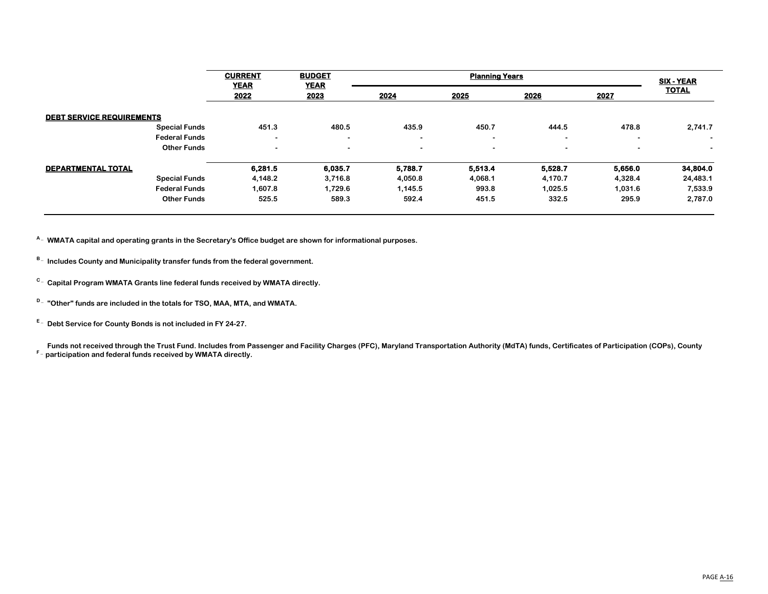|                                  | <b>CURRENT</b><br><b>YEAR</b> | <b>BUDGET</b><br><b>YEAR</b> |                | <b>SIX - YEAR</b>        |                |                          |                |
|----------------------------------|-------------------------------|------------------------------|----------------|--------------------------|----------------|--------------------------|----------------|
|                                  | 2022                          | 2023                         | 2024           | 2025                     | 2026           | 2027                     | <b>TOTAL</b>   |
| <b>DEBT SERVICE REQUIREMENTS</b> |                               |                              |                |                          |                |                          |                |
| <b>Special Funds</b>             | 451.3                         | 480.5                        | 435.9          | 450.7                    | 444.5          | 478.8                    | 2,741.7        |
| <b>Federal Funds</b>             | $\blacksquare$                | $\overline{\phantom{0}}$     | $\blacksquare$ | $\overline{\phantom{a}}$ | $\blacksquare$ | $\overline{\phantom{0}}$ | $\sim$         |
| <b>Other Funds</b>               | $\overline{\phantom{0}}$      | $\blacksquare$               | $\blacksquare$ | $\overline{\phantom{a}}$ | $\blacksquare$ | $\blacksquare$           | $\blacksquare$ |
| DEPARTMENTAL TOTAL               | 6.281.5                       | 6,035.7                      | 5,788.7        | 5,513.4                  | 5,528.7        | 5,656.0                  | 34,804.0       |
| <b>Special Funds</b>             | 4,148.2                       | 3,716.8                      | 4,050.8        | 4,068.1                  | 4,170.7        | 4,328.4                  | 24,483.1       |
| <b>Federal Funds</b>             | 1,607.8                       | 1,729.6                      | 1,145.5        | 993.8                    | 1,025.5        | 1,031.6                  | 7,533.9        |
| <b>Other Funds</b>               | 525.5                         | 589.3                        | 592.4          | 451.5                    | 332.5          | 295.9                    | 2,787.0        |

**A \_ WMATA capital and operating grants in the Secretary's Office budget are shown for informational purposes.**

- **B \_ Includes County and Municipality transfer funds from the federal government.**
- **C \_ Capital Program WMATA Grants line federal funds received by WMATA directly.**
- **D \_ "Other" funds are included in the totals for TSO, MAA, MTA, and WMATA.**

**E \_ Debt Service for County Bonds is not included in FY 24-27.**

Funds not received through the Trust Fund. Includes from Passenger and Facility Charges (PFC), Maryland Transportation Authority (MdTA) funds, Certificates of Participation (COPs), County<br><sup>F</sup>- participation and fadarel fun **participation and federal funds received by WMATA directly.**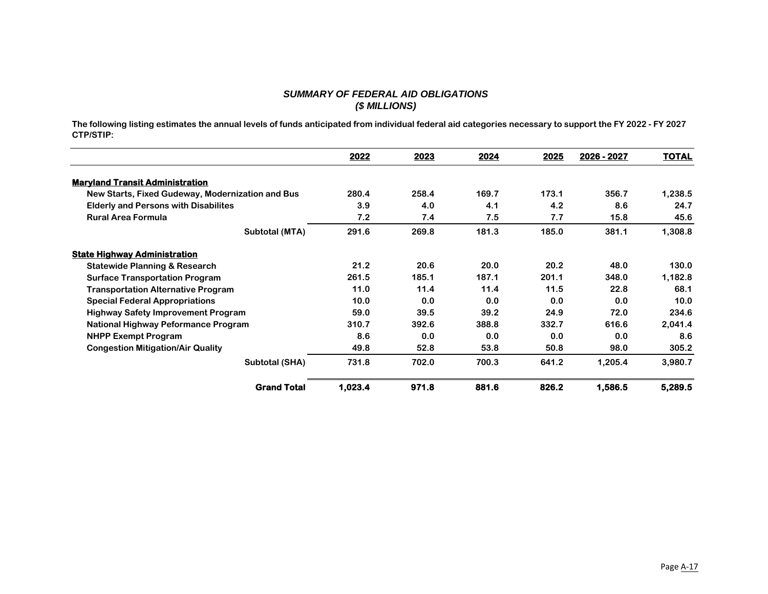## *SUMMARY OF FEDERAL AID OBLIGATIONS (\$ MILLIONS)*

**The following listing estimates the annual levels of funds anticipated from individual federal aid categories necessary to support the FY 2022 - FY 2027 CTP/STIP:**

|                                                  | 2022    | 2023  | 2024  | 2025  | 2026 - 2027 | <b>TOTAL</b> |
|--------------------------------------------------|---------|-------|-------|-------|-------------|--------------|
| <b>Maryland Transit Administration</b>           |         |       |       |       |             |              |
| New Starts, Fixed Gudeway, Modernization and Bus | 280.4   | 258.4 | 169.7 | 173.1 | 356.7       | 1,238.5      |
| <b>Elderly and Persons with Disabilites</b>      | 3.9     | 4.0   | 4.1   | 4.2   | 8.6         | 24.7         |
| <b>Rural Area Formula</b>                        | 7.2     | 7.4   | 7.5   | 7.7   | 15.8        | 45.6         |
| Subtotal (MTA)                                   | 291.6   | 269.8 | 181.3 | 185.0 | 381.1       | 1,308.8      |
| <b>State Highway Administration</b>              |         |       |       |       |             |              |
| <b>Statewide Planning &amp; Research</b>         | 21.2    | 20.6  | 20.0  | 20.2  | 48.0        | 130.0        |
| <b>Surface Transportation Program</b>            | 261.5   | 185.1 | 187.1 | 201.1 | 348.0       | 1,182.8      |
| <b>Transportation Alternative Program</b>        | 11.0    | 11.4  | 11.4  | 11.5  | 22.8        | 68.1         |
| <b>Special Federal Appropriations</b>            | 10.0    | 0.0   | 0.0   | 0.0   | 0.0         | 10.0         |
| <b>Highway Safety Improvement Program</b>        | 59.0    | 39.5  | 39.2  | 24.9  | 72.0        | 234.6        |
| National Highway Peformance Program              | 310.7   | 392.6 | 388.8 | 332.7 | 616.6       | 2,041.4      |
| <b>NHPP Exempt Program</b>                       | 8.6     | 0.0   | 0.0   | 0.0   | 0.0         | 8.6          |
| <b>Congestion Mitigation/Air Quality</b>         | 49.8    | 52.8  | 53.8  | 50.8  | 98.0        | 305.2        |
| Subtotal (SHA)                                   | 731.8   | 702.0 | 700.3 | 641.2 | 1,205.4     | 3,980.7      |
| <b>Grand Total</b>                               | 1,023.4 | 971.8 | 881.6 | 826.2 | 1,586.5     | 5,289.5      |